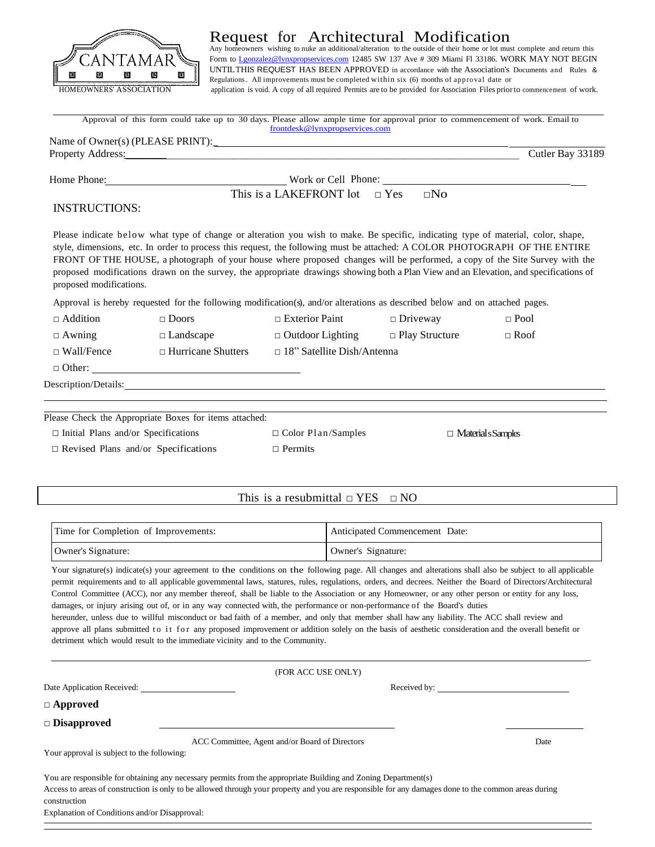

## Request for Architectural Modification<br>Any homeowners wishing to nuke an additional/alteration to the outside of their home or lot must complete and return this

Form to [Lgonzalez@lynxpropservices.com](mailto:Lgonzalez@lynxpropservices.com) 12485 SW 137 Ave # 309 Miami Fl 33186. WORK MAY NOT BEGIN UNTILTHIS REQUEST HAS BEEN APPROVED in accordance with the Association's Documents and Rules & Regulations. All improvements must be completed within six (6) months of approval date or HOMEOWNERS' ASSOCIATION application is void. A copy of all required Permits are to be provided for Association Files priorto commencement of work.

|                                            |                                                        | Approval of this form could take up to 30 days. Please allow ample time for approval prior to commencement of work. Email to<br>frontdesk@lynxpropservices.com                                                                                                  |                                |                                                                                                                                                                                                                                                                      |
|--------------------------------------------|--------------------------------------------------------|-----------------------------------------------------------------------------------------------------------------------------------------------------------------------------------------------------------------------------------------------------------------|--------------------------------|----------------------------------------------------------------------------------------------------------------------------------------------------------------------------------------------------------------------------------------------------------------------|
|                                            |                                                        |                                                                                                                                                                                                                                                                 |                                |                                                                                                                                                                                                                                                                      |
|                                            |                                                        | Property Address: <u>New York: New York: New York: New York: New York: New York: New York: New York: New York: New York: New York: New York: New York: New York: New York: New York: New York: New York: New York: New York: New</u>                            |                                | Cutler Bay 33189                                                                                                                                                                                                                                                     |
|                                            |                                                        | Home Phone: North and More Cell Phone: North and More Cell Phone: North and More Phone:                                                                                                                                                                         |                                |                                                                                                                                                                                                                                                                      |
|                                            |                                                        | This is a LAKEFRONT lot $\Box$ Yes $\Box$ No                                                                                                                                                                                                                    |                                |                                                                                                                                                                                                                                                                      |
| <b>INSTRUCTIONS:</b>                       |                                                        |                                                                                                                                                                                                                                                                 |                                |                                                                                                                                                                                                                                                                      |
| proposed modifications.                    |                                                        | Please indicate below what type of change or alteration you wish to make. Be specific, indicating type of material, color, shape,<br>style, dimensions, etc. In order to process this request, the following must be attached: A COLOR PHOTOGRAPH OF THE ENTIRE |                                | FRONT OF THE HOUSE, a photograph of your house where proposed changes will be performed, a copy of the Site Survey with the<br>proposed modifications drawn on the survey, the appropriate drawings showing both a Plan View and an Elevation, and specifications of |
|                                            |                                                        | Approval is hereby requested for the following modification(s), and/or alterations as described below and on attached pages.                                                                                                                                    |                                |                                                                                                                                                                                                                                                                      |
| $\Box$ Addition                            | $\Box$ Doors                                           | $\Box$ Exterior Paint                                                                                                                                                                                                                                           | $\Box$ Driveway                | $\Box$ Pool                                                                                                                                                                                                                                                          |
| $\Box$ Awning                              | $\Box$ Landscape                                       | $\Box$ Outdoor Lighting                                                                                                                                                                                                                                         | $\Box$ Play Structure          | $\Box$ Roof                                                                                                                                                                                                                                                          |
| $\Box$ Wall/Fence                          | $\Box$ Hurricane Shutters                              | $\Box$ 18" Satellite Dish/Antenna                                                                                                                                                                                                                               |                                |                                                                                                                                                                                                                                                                      |
|                                            |                                                        |                                                                                                                                                                                                                                                                 |                                |                                                                                                                                                                                                                                                                      |
|                                            |                                                        | Description/Details: No. 2014 19:30 and 2014 19:30 and 2014 19:30 and 2014 19:30 and 2014 19:30 and 2014 19:30                                                                                                                                                  |                                |                                                                                                                                                                                                                                                                      |
|                                            | Please Check the Appropriate Boxes for items attached: |                                                                                                                                                                                                                                                                 |                                |                                                                                                                                                                                                                                                                      |
| $\Box$ Initial Plans and/or Specifications |                                                        | $\Box$ Color Plan/Samples                                                                                                                                                                                                                                       |                                | $\Box$ Material s Samples                                                                                                                                                                                                                                            |
| $\Box$ Revised Plans and/or Specifications |                                                        | $\Box$ Permits                                                                                                                                                                                                                                                  |                                |                                                                                                                                                                                                                                                                      |
|                                            |                                                        | This is a resubmittal $\Box$ YES                                                                                                                                                                                                                                | $\Box$ NO                      |                                                                                                                                                                                                                                                                      |
|                                            |                                                        |                                                                                                                                                                                                                                                                 |                                |                                                                                                                                                                                                                                                                      |
| Time for Completion of Improvements:       |                                                        |                                                                                                                                                                                                                                                                 | Anticipated Commencement Date: |                                                                                                                                                                                                                                                                      |

| Owner's Signature:                                                                                                                                                                                                                                                                                                        | Owner's Signature: |  |  |
|---------------------------------------------------------------------------------------------------------------------------------------------------------------------------------------------------------------------------------------------------------------------------------------------------------------------------|--------------------|--|--|
| Your signature(s) indicate(s) your agreement to the conditions on the following page. All changes and alterations shall also be subject to all applicable<br>permit requirements and to all applicable governmental laws, statures, rules, regulations, orders, and decrees. Neither the Board of Directors/Architectural |                    |  |  |
| Control Committee (ACC), nor any member thereof, shall be liable to the Association or any Homeowner, or any other person or entity for any loss,                                                                                                                                                                         |                    |  |  |
| damages, or injury arising out of, or in any way connected with, the performance or non-performance of the Board's duties                                                                                                                                                                                                 |                    |  |  |
| hereunder, unless due to willful misconduct or bad faith of a member, and only that member shall haw any liability. The ACC shall review and                                                                                                                                                                              |                    |  |  |
| approve all plans submitted to it for any proposed improvement or addition solely on the basis of aesthetic consideration and the overall benefit or                                                                                                                                                                      |                    |  |  |

|                                            | (FOR ACC USE ONLY)                                                                                                                                  |      |  |
|--------------------------------------------|-----------------------------------------------------------------------------------------------------------------------------------------------------|------|--|
|                                            |                                                                                                                                                     |      |  |
| $\Box$ Approved                            |                                                                                                                                                     |      |  |
| $\Box$ Disapproved                         |                                                                                                                                                     |      |  |
|                                            | ACC Committee, Agent and/or Board of Directors                                                                                                      | Date |  |
| Your approval is subject to the following: |                                                                                                                                                     |      |  |
|                                            | You are responsible for obtaining any necessary permits from the appropriate Building and Zoning Department(s)                                      |      |  |
|                                            | Access to areas of construction is only to be allowed through your property and you are responsible for any damages done to the common areas during |      |  |

Explanation of Conditions and/or Disapproval: